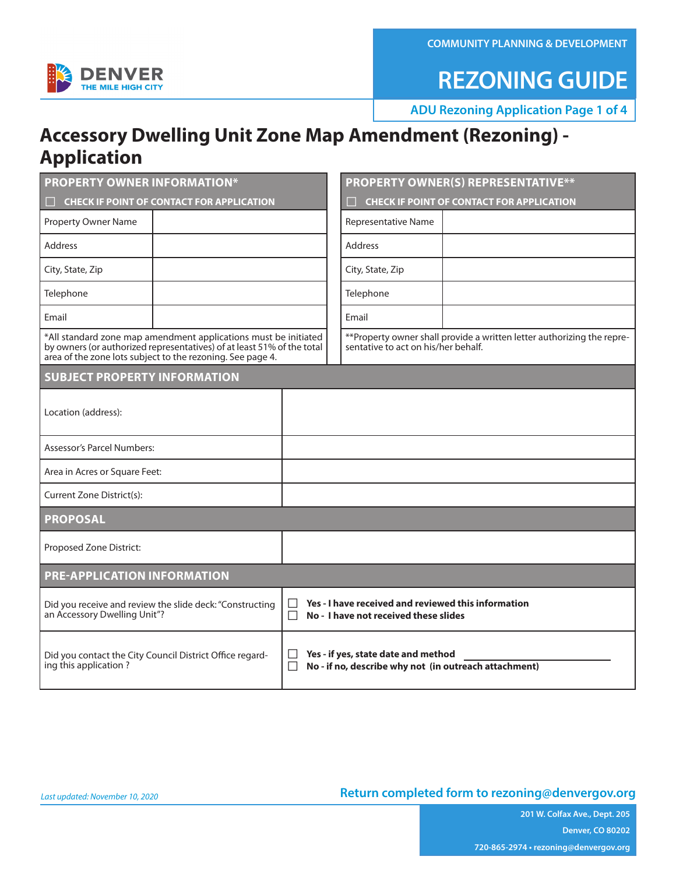**COMMUNITY PLANNING & DEVELOPMENT**



### **REZONING GUIDE**

**ADU Rezoning Application Page 1 of 4**

#### **Accessory Dwelling Unit Zone Map Amendment (Rezoning) - Application**

| <b>PROPERTY OWNER INFORMATION*</b>                                                                                                                                                                      | <b>PROPERTY OWNER(S) REPRESENTATIVE**</b>                                                                      |  |  |  |  |  |  |
|---------------------------------------------------------------------------------------------------------------------------------------------------------------------------------------------------------|----------------------------------------------------------------------------------------------------------------|--|--|--|--|--|--|
| <b>CHECK IF POINT OF CONTACT FOR APPLICATION</b>                                                                                                                                                        | <b>CHECK IF POINT OF CONTACT FOR APPLICATION</b>                                                               |  |  |  |  |  |  |
| Property Owner Name                                                                                                                                                                                     | <b>Representative Name</b>                                                                                     |  |  |  |  |  |  |
| <b>Address</b>                                                                                                                                                                                          | <b>Address</b>                                                                                                 |  |  |  |  |  |  |
| City, State, Zip                                                                                                                                                                                        | City, State, Zip                                                                                               |  |  |  |  |  |  |
| Telephone                                                                                                                                                                                               | Telephone                                                                                                      |  |  |  |  |  |  |
| Email                                                                                                                                                                                                   | Email                                                                                                          |  |  |  |  |  |  |
| *All standard zone map amendment applications must be initiated<br>by owners (or authorized representatives) of at least 51% of the total<br>area of the zone lots subject to the rezoning. See page 4. | ** Property owner shall provide a written letter authorizing the repre-<br>sentative to act on his/her behalf. |  |  |  |  |  |  |
| <b>SUBJECT PROPERTY INFORMATION</b>                                                                                                                                                                     |                                                                                                                |  |  |  |  |  |  |
| Location (address):                                                                                                                                                                                     |                                                                                                                |  |  |  |  |  |  |
| <b>Assessor's Parcel Numbers:</b>                                                                                                                                                                       |                                                                                                                |  |  |  |  |  |  |
| Area in Acres or Square Feet:                                                                                                                                                                           |                                                                                                                |  |  |  |  |  |  |
| Current Zone District(s):                                                                                                                                                                               |                                                                                                                |  |  |  |  |  |  |
| <b>PROPOSAL</b>                                                                                                                                                                                         |                                                                                                                |  |  |  |  |  |  |
| Proposed Zone District:                                                                                                                                                                                 |                                                                                                                |  |  |  |  |  |  |
| <b>PRE-APPLICATION INFORMATION</b>                                                                                                                                                                      |                                                                                                                |  |  |  |  |  |  |
| Did you receive and review the slide deck: "Constructing<br>an Accessory Dwelling Unit"?                                                                                                                | Yes - I have received and reviewed this information<br>П<br>No - I have not received these slides              |  |  |  |  |  |  |
| Did you contact the City Council District Office regard-<br>ing this application?                                                                                                                       | Yes - if yes, state date and method<br>No - if no, describe why not (in outreach attachment)                   |  |  |  |  |  |  |

#### **Return completed form to rezoning@denvergov.org**

**201 W. Colfax Ave., Dept. 205 Denver, CO 80202 720-865-2974 • rezoning@denvergov.org**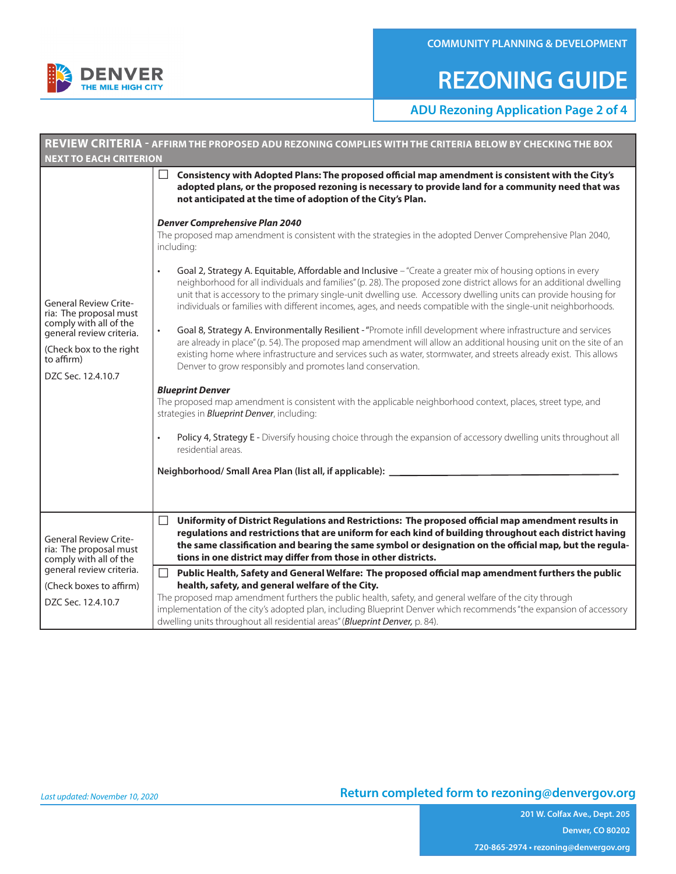

### **REZONING GUIDE**

**ADU Rezoning Application Page 2 of 4**

|                                                                                                                                                                             | REVIEW CRITERIA - AFFIRM THE PROPOSED ADU REZONING COMPLIES WITH THE CRITERIA BELOW BY CHECKING THE BOX                                                                                                                                                                                                                                                                                                                                                                                |  |  |  |  |
|-----------------------------------------------------------------------------------------------------------------------------------------------------------------------------|----------------------------------------------------------------------------------------------------------------------------------------------------------------------------------------------------------------------------------------------------------------------------------------------------------------------------------------------------------------------------------------------------------------------------------------------------------------------------------------|--|--|--|--|
| <b>NEXT TO EACH CRITERION</b>                                                                                                                                               |                                                                                                                                                                                                                                                                                                                                                                                                                                                                                        |  |  |  |  |
|                                                                                                                                                                             | Consistency with Adopted Plans: The proposed official map amendment is consistent with the City's<br>П<br>adopted plans, or the proposed rezoning is necessary to provide land for a community need that was<br>not anticipated at the time of adoption of the City's Plan.                                                                                                                                                                                                            |  |  |  |  |
| <b>General Review Crite-</b><br>ria: The proposal must<br>comply with all of the<br>general review criteria.<br>(Check box to the right<br>to affirm)<br>DZC Sec. 12.4.10.7 | <b>Denver Comprehensive Plan 2040</b><br>The proposed map amendment is consistent with the strategies in the adopted Denver Comprehensive Plan 2040,<br>including:                                                                                                                                                                                                                                                                                                                     |  |  |  |  |
|                                                                                                                                                                             | Goal 2, Strategy A. Equitable, Affordable and Inclusive - "Create a greater mix of housing options in every<br>$\bullet$<br>neighborhood for all individuals and families" (p. 28). The proposed zone district allows for an additional dwelling<br>unit that is accessory to the primary single-unit dwelling use. Accessory dwelling units can provide housing for<br>individuals or families with different incomes, ages, and needs compatible with the single-unit neighborhoods. |  |  |  |  |
|                                                                                                                                                                             | Goal 8, Strategy A. Environmentally Resilient - "Promote infill development where infrastructure and services<br>$\bullet$<br>are already in place" (p. 54). The proposed map amendment will allow an additional housing unit on the site of an<br>existing home where infrastructure and services such as water, stormwater, and streets already exist. This allows<br>Denver to grow responsibly and promotes land conservation.                                                     |  |  |  |  |
|                                                                                                                                                                             | <b>Blueprint Denver</b><br>The proposed map amendment is consistent with the applicable neighborhood context, places, street type, and<br>strategies in <b>Blueprint Denver</b> , including:                                                                                                                                                                                                                                                                                           |  |  |  |  |
|                                                                                                                                                                             | Policy 4, Strategy E - Diversify housing choice through the expansion of accessory dwelling units throughout all<br>residential areas.                                                                                                                                                                                                                                                                                                                                                 |  |  |  |  |
|                                                                                                                                                                             | Neighborhood/Small Area Plan (list all, if applicable): ___________                                                                                                                                                                                                                                                                                                                                                                                                                    |  |  |  |  |
|                                                                                                                                                                             |                                                                                                                                                                                                                                                                                                                                                                                                                                                                                        |  |  |  |  |
| <b>General Review Crite-</b><br>ria: The proposal must<br>comply with all of the                                                                                            | Uniformity of District Regulations and Restrictions: The proposed official map amendment results in<br>□<br>regulations and restrictions that are uniform for each kind of building throughout each district having<br>the same classification and bearing the same symbol or designation on the official map, but the regula-<br>tions in one district may differ from those in other districts.                                                                                      |  |  |  |  |
| general review criteria.<br>(Check boxes to affirm)                                                                                                                         | $\Box$<br>Public Health, Safety and General Welfare: The proposed official map amendment furthers the public<br>health, safety, and general welfare of the City.                                                                                                                                                                                                                                                                                                                       |  |  |  |  |
| DZC Sec. 12.4.10.7                                                                                                                                                          | The proposed map amendment furthers the public health, safety, and general welfare of the city through<br>implementation of the city's adopted plan, including Blueprint Denver which recommends "the expansion of accessory<br>dwelling units throughout all residential areas" (Blueprint Denver, p. 84).                                                                                                                                                                            |  |  |  |  |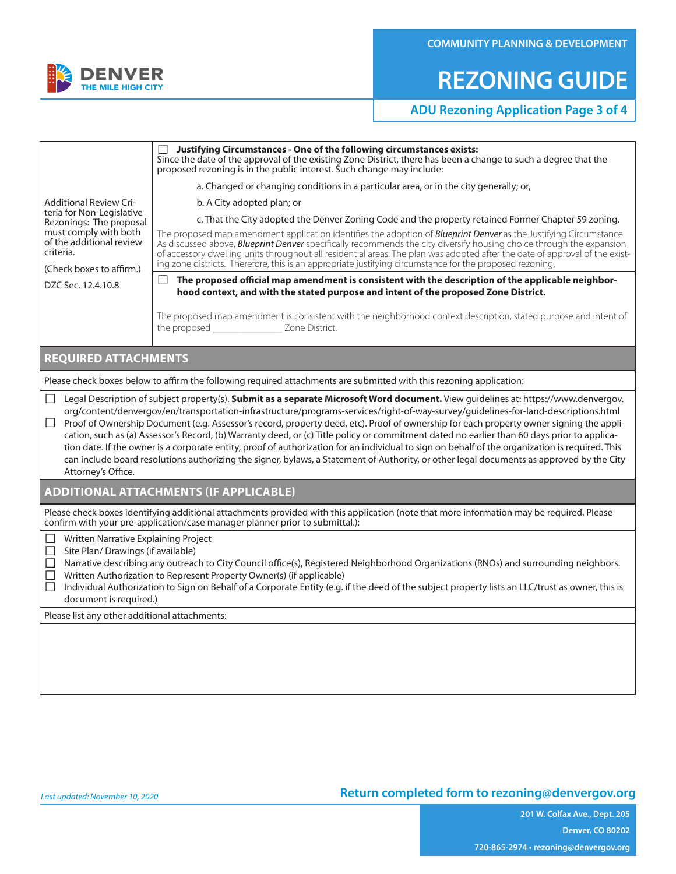

## **REZONING GUIDE**

#### **ADU Rezoning Application Page 3 of 4**

|                                                                                                                                                                                                                                                                                                                                                                                                                                                                                                                                                                                                                                                                                                                                                                                                                                                                                                | Justifying Circumstances - One of the following circumstances exists:<br>Since the date of the approval of the existing Zone District, there has been a change to such a degree that the<br>proposed rezoning is in the public interest. Such change may include:                                                                                                                                                                                                                                   |  |  |  |  |  |
|------------------------------------------------------------------------------------------------------------------------------------------------------------------------------------------------------------------------------------------------------------------------------------------------------------------------------------------------------------------------------------------------------------------------------------------------------------------------------------------------------------------------------------------------------------------------------------------------------------------------------------------------------------------------------------------------------------------------------------------------------------------------------------------------------------------------------------------------------------------------------------------------|-----------------------------------------------------------------------------------------------------------------------------------------------------------------------------------------------------------------------------------------------------------------------------------------------------------------------------------------------------------------------------------------------------------------------------------------------------------------------------------------------------|--|--|--|--|--|
|                                                                                                                                                                                                                                                                                                                                                                                                                                                                                                                                                                                                                                                                                                                                                                                                                                                                                                | a. Changed or changing conditions in a particular area, or in the city generally; or,                                                                                                                                                                                                                                                                                                                                                                                                               |  |  |  |  |  |
| <b>Additional Review Cri-</b>                                                                                                                                                                                                                                                                                                                                                                                                                                                                                                                                                                                                                                                                                                                                                                                                                                                                  | b. A City adopted plan; or                                                                                                                                                                                                                                                                                                                                                                                                                                                                          |  |  |  |  |  |
| teria for Non-Legislative<br>Rezonings: The proposal                                                                                                                                                                                                                                                                                                                                                                                                                                                                                                                                                                                                                                                                                                                                                                                                                                           | c. That the City adopted the Denver Zoning Code and the property retained Former Chapter 59 zoning.                                                                                                                                                                                                                                                                                                                                                                                                 |  |  |  |  |  |
| must comply with both<br>of the additional review<br>criteria.<br>(Check boxes to affirm.)                                                                                                                                                                                                                                                                                                                                                                                                                                                                                                                                                                                                                                                                                                                                                                                                     | The proposed map amendment application identifies the adoption of <b>Blueprint Denver</b> as the Justifying Circumstance.<br>As discussed above, <b>Blueprint Denver</b> specifically recommends the city diversify housing choice through the expansion<br>of accessory dwelling units throughout all residential areas. The plan was adopted after the date of approval of the exist-<br>ing zone districts. Therefore, this is an appropriate justifying circumstance for the proposed rezoning. |  |  |  |  |  |
|                                                                                                                                                                                                                                                                                                                                                                                                                                                                                                                                                                                                                                                                                                                                                                                                                                                                                                | The proposed official map amendment is consistent with the description of the applicable neighbor-                                                                                                                                                                                                                                                                                                                                                                                                  |  |  |  |  |  |
| DZC Sec. 12.4.10.8                                                                                                                                                                                                                                                                                                                                                                                                                                                                                                                                                                                                                                                                                                                                                                                                                                                                             | hood context, and with the stated purpose and intent of the proposed Zone District.                                                                                                                                                                                                                                                                                                                                                                                                                 |  |  |  |  |  |
|                                                                                                                                                                                                                                                                                                                                                                                                                                                                                                                                                                                                                                                                                                                                                                                                                                                                                                | The proposed map amendment is consistent with the neighborhood context description, stated purpose and intent of                                                                                                                                                                                                                                                                                                                                                                                    |  |  |  |  |  |
| <b>REQUIRED ATTACHMENTS</b>                                                                                                                                                                                                                                                                                                                                                                                                                                                                                                                                                                                                                                                                                                                                                                                                                                                                    |                                                                                                                                                                                                                                                                                                                                                                                                                                                                                                     |  |  |  |  |  |
|                                                                                                                                                                                                                                                                                                                                                                                                                                                                                                                                                                                                                                                                                                                                                                                                                                                                                                | Please check boxes below to affirm the following required attachments are submitted with this rezoning application:                                                                                                                                                                                                                                                                                                                                                                                 |  |  |  |  |  |
| □ Legal Description of subject property(s). Submit as a separate Microsoft Word document. View guidelines at: https://www.denvergov.<br>org/content/denvergov/en/transportation-infrastructure/programs-services/right-of-way-survey/guidelines-for-land-descriptions.html<br>Proof of Ownership Document (e.g. Assessor's record, property deed, etc). Proof of ownership for each property owner signing the appli-<br>П<br>cation, such as (a) Assessor's Record, (b) Warranty deed, or (c) Title policy or commitment dated no earlier than 60 days prior to applica-<br>tion date. If the owner is a corporate entity, proof of authorization for an individual to sign on behalf of the organization is required. This<br>can include board resolutions authorizing the signer, bylaws, a Statement of Authority, or other legal documents as approved by the City<br>Attorney's Office. |                                                                                                                                                                                                                                                                                                                                                                                                                                                                                                     |  |  |  |  |  |
| <b>ADDITIONAL ATTACHMENTS (IF APPLICABLE)</b>                                                                                                                                                                                                                                                                                                                                                                                                                                                                                                                                                                                                                                                                                                                                                                                                                                                  |                                                                                                                                                                                                                                                                                                                                                                                                                                                                                                     |  |  |  |  |  |
| Please check boxes identifying additional attachments provided with this application (note that more information may be required. Please<br>confirm with your pre-application/case manager planner prior to submittal.):                                                                                                                                                                                                                                                                                                                                                                                                                                                                                                                                                                                                                                                                       |                                                                                                                                                                                                                                                                                                                                                                                                                                                                                                     |  |  |  |  |  |
| Written Narrative Explaining Project<br>ப<br>Site Plan/ Drawings (if available)<br>Narrative describing any outreach to City Council office(s), Registered Neighborhood Organizations (RNOs) and surrounding neighbors.                                                                                                                                                                                                                                                                                                                                                                                                                                                                                                                                                                                                                                                                        |                                                                                                                                                                                                                                                                                                                                                                                                                                                                                                     |  |  |  |  |  |
| Ш<br>Written Authorization to Represent Property Owner(s) (if applicable)                                                                                                                                                                                                                                                                                                                                                                                                                                                                                                                                                                                                                                                                                                                                                                                                                      |                                                                                                                                                                                                                                                                                                                                                                                                                                                                                                     |  |  |  |  |  |
| П<br>Individual Authorization to Sign on Behalf of a Corporate Entity (e.g. if the deed of the subject property lists an LLC/trust as owner, this is<br>document is required.)                                                                                                                                                                                                                                                                                                                                                                                                                                                                                                                                                                                                                                                                                                                 |                                                                                                                                                                                                                                                                                                                                                                                                                                                                                                     |  |  |  |  |  |
| Please list any other additional attachments:                                                                                                                                                                                                                                                                                                                                                                                                                                                                                                                                                                                                                                                                                                                                                                                                                                                  |                                                                                                                                                                                                                                                                                                                                                                                                                                                                                                     |  |  |  |  |  |
|                                                                                                                                                                                                                                                                                                                                                                                                                                                                                                                                                                                                                                                                                                                                                                                                                                                                                                |                                                                                                                                                                                                                                                                                                                                                                                                                                                                                                     |  |  |  |  |  |
|                                                                                                                                                                                                                                                                                                                                                                                                                                                                                                                                                                                                                                                                                                                                                                                                                                                                                                |                                                                                                                                                                                                                                                                                                                                                                                                                                                                                                     |  |  |  |  |  |